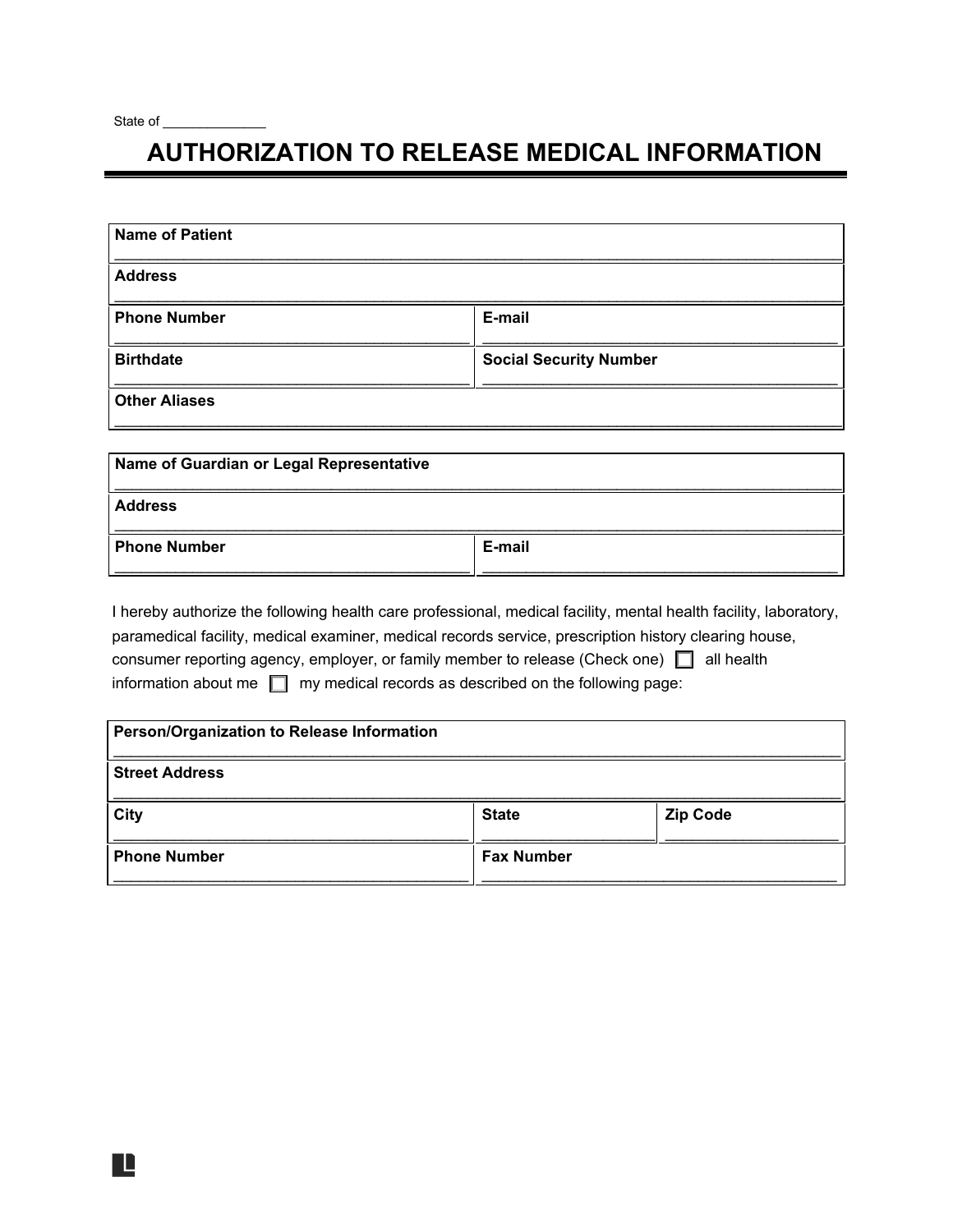L

## **AUTHORIZATION TO RELEASE MEDICAL INFORMATION**

| <b>Name of Patient</b> |                               |
|------------------------|-------------------------------|
| <b>Address</b>         |                               |
| <b>Phone Number</b>    | E-mail                        |
| <b>Birthdate</b>       | <b>Social Security Number</b> |
| <b>Other Aliases</b>   |                               |

| Name of Guardian or Legal Representative |        |
|------------------------------------------|--------|
| <b>Address</b>                           |        |
| <b>Phone Number</b>                      | E-mail |

\_\_\_\_\_\_\_\_\_\_\_\_\_\_\_\_\_\_\_\_\_\_\_\_\_\_\_\_\_\_\_\_\_\_\_\_\_\_\_\_\_\_\_\_\_\_\_\_\_\_\_\_\_\_\_\_\_\_\_\_\_\_\_\_\_\_\_\_\_\_\_\_\_\_\_\_\_\_\_\_\_\_\_\_

I hereby authorize the following health care professional, medical facility, mental health facility, laboratory, paramedical facility, medical examiner, medical records service, prescription history clearing house, consumer reporting agency, employer, or family member to release (Check one) □ all health information about me ☐ my medical records as described on the following page:

| Person/Organization to Release Information |                   |                 |
|--------------------------------------------|-------------------|-----------------|
| <b>Street Address</b>                      |                   |                 |
| <b>City</b>                                | <b>State</b>      | <b>Zip Code</b> |
| <b>Phone Number</b>                        | <b>Fax Number</b> |                 |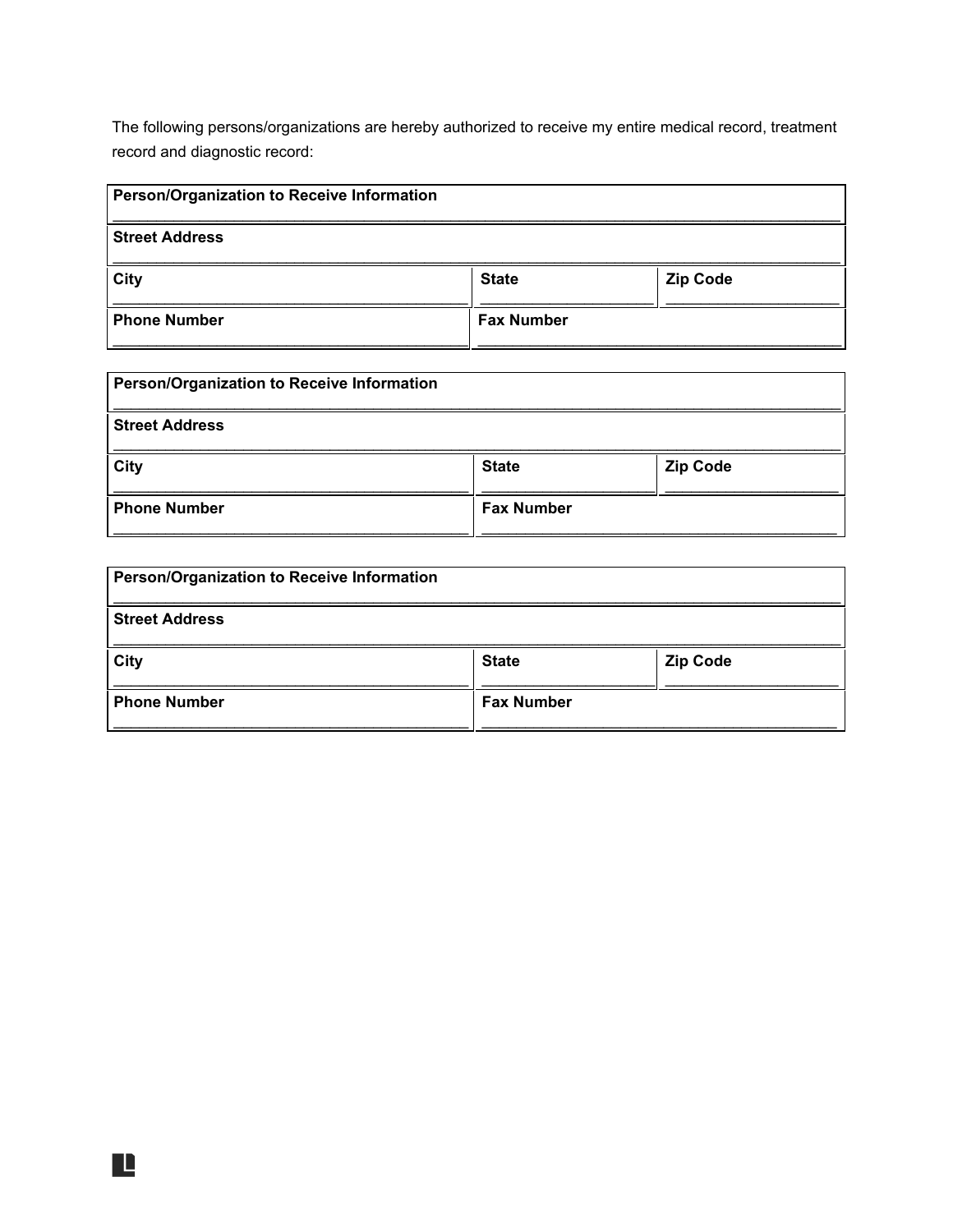The following persons/organizations are hereby authorized to receive my entire medical record, treatment record and diagnostic record:

| <b>Person/Organization to Receive Information</b> |                   |                 |
|---------------------------------------------------|-------------------|-----------------|
| <b>Street Address</b>                             |                   |                 |
| City                                              | <b>State</b>      | <b>Zip Code</b> |
| <b>Phone Number</b>                               | <b>Fax Number</b> |                 |

| <b>Person/Organization to Receive Information</b> |                   |                 |
|---------------------------------------------------|-------------------|-----------------|
| <b>Street Address</b>                             |                   |                 |
| City                                              | <b>State</b>      | <b>Zip Code</b> |
| <b>Phone Number</b>                               | <b>Fax Number</b> |                 |

| <b>Person/Organization to Receive Information</b> |                   |                 |
|---------------------------------------------------|-------------------|-----------------|
| <b>Street Address</b>                             |                   |                 |
| City                                              | <b>State</b>      | <b>Zip Code</b> |
| <b>Phone Number</b>                               | <b>Fax Number</b> |                 |

Ľ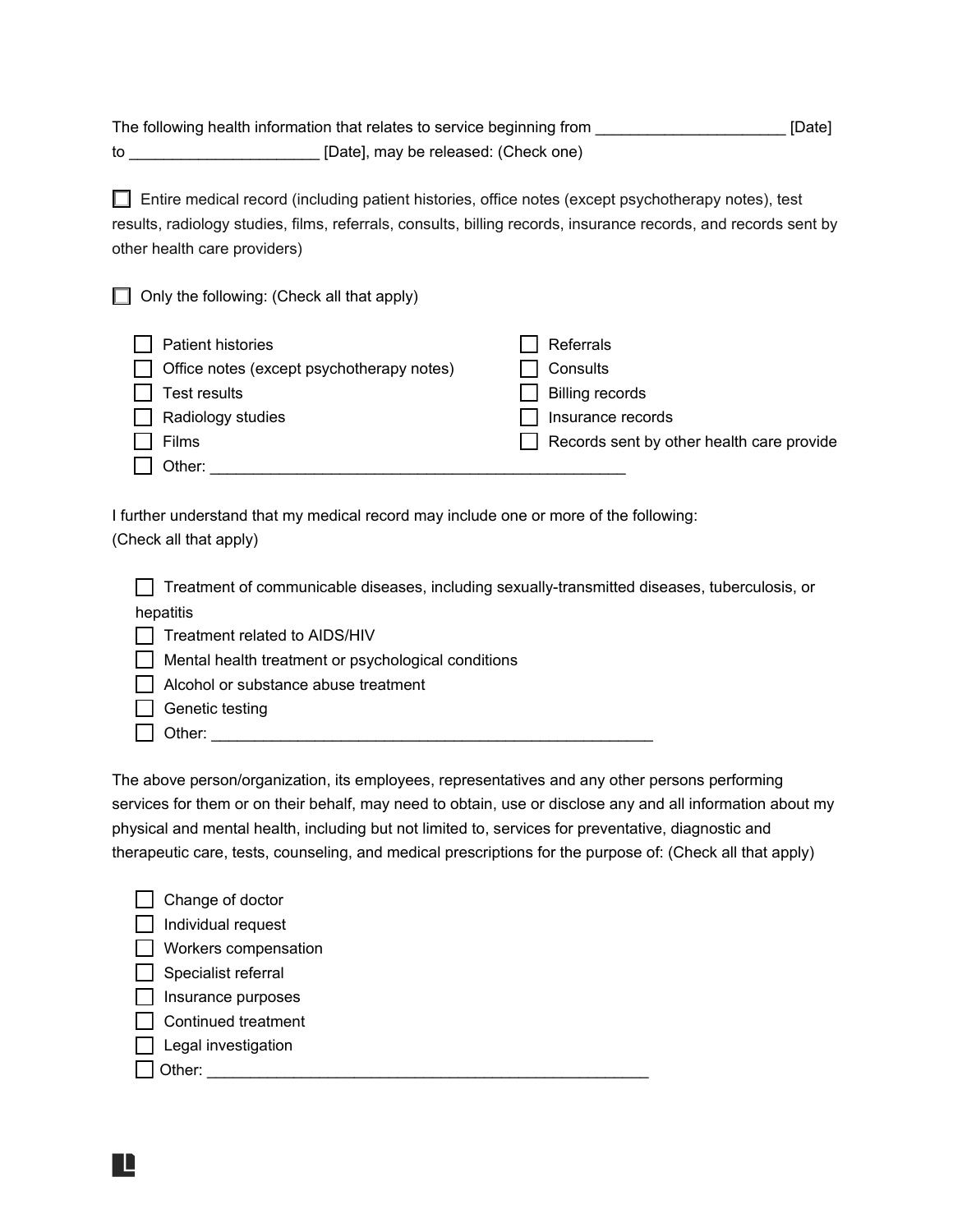The following health information that relates to service beginning from **Example 20** [Date] to \_\_\_\_\_\_\_\_\_\_\_\_\_\_\_\_\_\_\_\_\_\_ [Date], may be released: (Check one)

☐ Entire medical record (including patient histories, office notes (except psychotherapy notes), test results, radiology studies, films, referrals, consults, billing records, insurance records, and records sent by other health care providers)

☐ Only the following: (Check all that apply)

| Patient histories                                | Referrals                                               |
|--------------------------------------------------|---------------------------------------------------------|
| $\Box$ Office notes (except psychotherapy notes) | Consults                                                |
| Test results<br>$\Box$                           | <b>Billing records</b>                                  |
| $\Box$ Radiology studies                         | Insurance records                                       |
|                                                  | $\vert \vert$ Records sent by other health care provide |
| Other:                                           |                                                         |

I further understand that my medical record may include one or more of the following: (Check all that apply)

☐ Treatment of communicable diseases, including sexually-transmitted diseases, tuberculosis, or hepatitis ☐ Treatment related to AIDS/HIV ☐ Mental health treatment or psychological conditions ☐ Alcohol or substance abuse treatment  $\Box$  Genetic testing

 $\Box$  Other:

R

The above person/organization, its employees, representatives and any other persons performing services for them or on their behalf, may need to obtain, use or disclose any and all information about my physical and mental health, including but not limited to, services for preventative, diagnostic and therapeutic care, tests, counseling, and medical prescriptions for the purpose of: (Check all that apply)

| Change of doctor     |
|----------------------|
| Individual request   |
| Workers compensation |
| Specialist referral  |
| Insurance purposes   |
| Continued treatment  |
| Legal investigation  |
| ther:                |